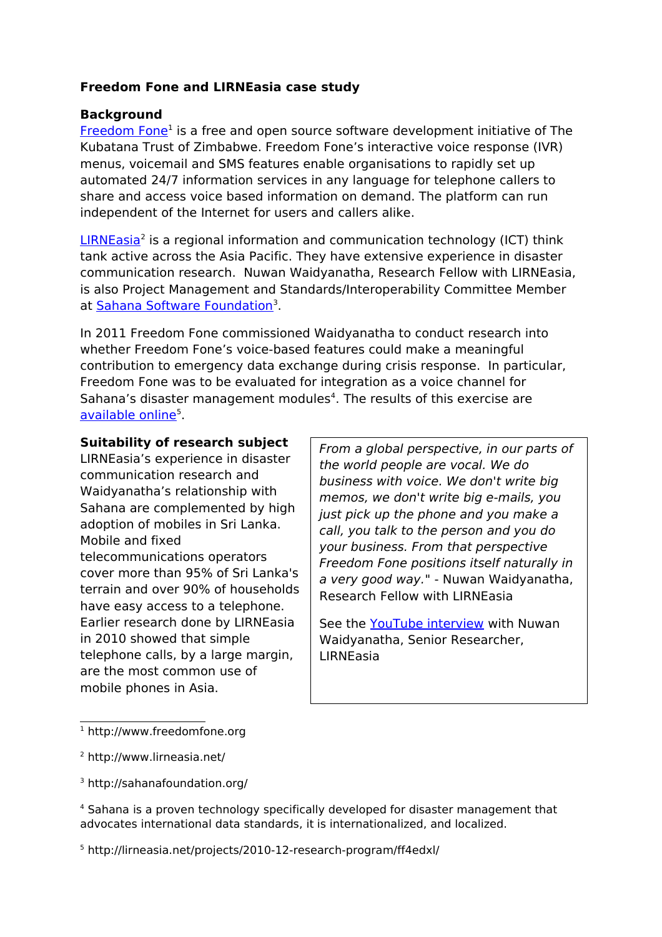# **Freedom Fone and LIRNEasia case study**

# **Background**

[Freedom Fone](http://www.freedomfone.org/)<sup>[1](#page-0-0)</sup> is a free and open source software development initiative of The Kubatana Trust of Zimbabwe. Freedom Fone's interactive voice response (IVR) menus, voicemail and SMS features enable organisations to rapidly set up automated 24/7 information services in any language for telephone callers to share and access voice based information on demand. The platform can run independent of the Internet for users and callers alike.

[LIRNEasia](http://www.lirneasia.net/)<sup>[2](#page-0-1)</sup> is a regional information and communication technology (ICT) think tank active across the Asia Pacific. They have extensive experience in disaster communication research. Nuwan Waidyanatha, Research Fellow with LIRNEasia, is also Project Management and Standards/Interoperability Committee Member at <u>Sahana Software Foundation</u><sup>[3](#page-0-2)</sup>.

In 2011 Freedom Fone commissioned Waidyanatha to conduct research into whether Freedom Fone's voice-based features could make a meaningful contribution to emergency data exchange during crisis response. In particular, Freedom Fone was to be evaluated for integration as a voice channel for Sahana's disaster management modules<sup>[4](#page-0-3)</sup>. The results of this exercise are [available online](http://lirneasia.net/projects/2010-12-research-program/ff4edxl/)<sup>[5](#page-0-4)</sup>.

### **Suitability of research subject**

LIRNEasia's experience in disaster communication research and Waidyanatha's relationship with Sahana are complemented by high adoption of mobiles in Sri Lanka. Mobile and fixed telecommunications operators cover more than 95% of Sri Lanka's terrain and over 90% of households have easy access to a telephone. Earlier research done by LIRNEasia in 2010 showed that simple telephone calls, by a large margin, are the most common use of mobile phones in Asia.

From a global perspective, in our parts of the world people are vocal. We do business with voice. We don't write big memos, we don't write big e-mails, you just pick up the phone and you make a call, you talk to the person and you do your business. From that perspective Freedom Fone positions itself naturally in a very good way." - Nuwan Waidyanatha, Research Fellow with LIRNEasia

See the [YouTube interview](http://www.youtube.com/watch?v=ZS9y8-Lim_Q) with Nuwan Waidyanatha, Senior Researcher, LIRNEasia

<span id="page-0-0"></span> $^1$  http://www.freedomfone.org

<span id="page-0-1"></span><sup>2</sup> http://www.lirneasia.net/

<span id="page-0-2"></span><sup>3</sup> http://sahanafoundation.org/

<span id="page-0-3"></span><sup>4</sup> Sahana is a proven technology specifically developed for disaster management that advocates international data standards, it is internationalized, and localized.

<span id="page-0-4"></span><sup>5</sup> http://lirneasia.net/projects/2010-12-research-program/ff4edxl/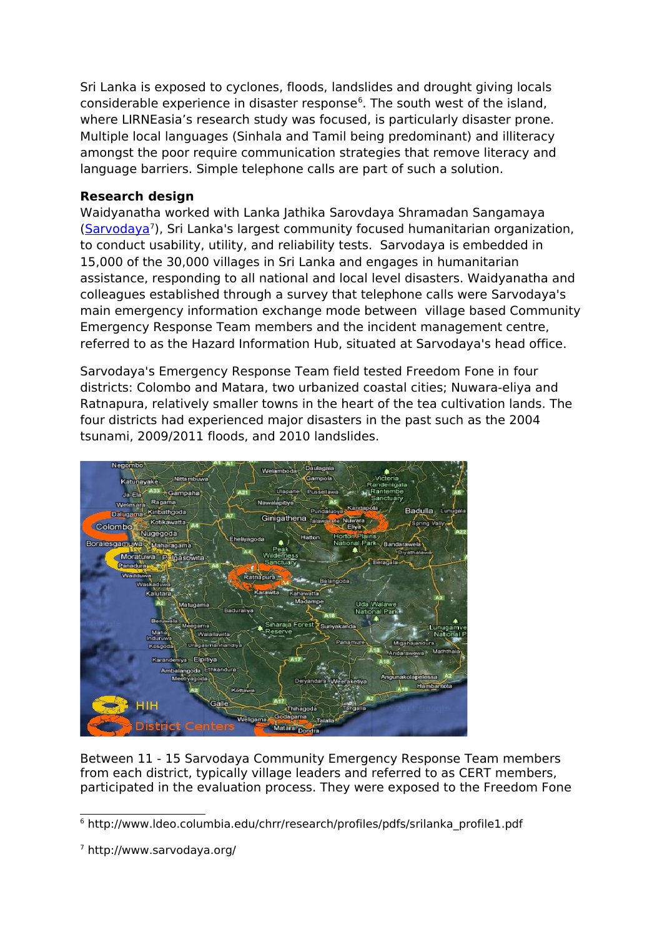Sri Lanka is exposed to cyclones, floods, landslides and drought giving locals considerable experience in disaster response $6$ . The south west of the island, where LIRNEasia's research study was focused, is particularly disaster prone. Multiple local languages (Sinhala and Tamil being predominant) and illiteracy amongst the poor require communication strategies that remove literacy and language barriers. Simple telephone calls are part of such a solution.

# **Research design**

Waidyanatha worked with Lanka Jathika Sarovdaya Shramadan Sangamaya [\(Sarvodaya](http://www.sarvodaya.org/)<sup>[7](#page-1-1)</sup>), Sri Lanka's largest community focused humanitarian organization, to conduct usability, utility, and reliability tests. Sarvodaya is embedded in 15,000 of the 30,000 villages in Sri Lanka and engages in humanitarian assistance, responding to all national and local level disasters. Waidyanatha and colleagues established through a survey that telephone calls were Sarvodaya's main emergency information exchange mode between village based Community Emergency Response Team members and the incident management centre, referred to as the Hazard Information Hub, situated at Sarvodaya's head office.

Sarvodaya's Emergency Response Team field tested Freedom Fone in four districts: Colombo and Matara, two urbanized coastal cities; Nuwara-eliya and Ratnapura, relatively smaller towns in the heart of the tea cultivation lands. The four districts had experienced major disasters in the past such as the 2004 tsunami, 2009/2011 floods, and 2010 landslides.



Between 11 - 15 Sarvodaya Community Emergency Response Team members from each district, typically village leaders and referred to as CERT members, participated in the evaluation process. They were exposed to the Freedom Fone

<span id="page-1-0"></span><sup>6</sup> http://www.ldeo.columbia.edu/chrr/research/profiles/pdfs/srilanka\_profile1.pdf

<span id="page-1-1"></span><sup>7</sup> http://www.sarvodaya.org/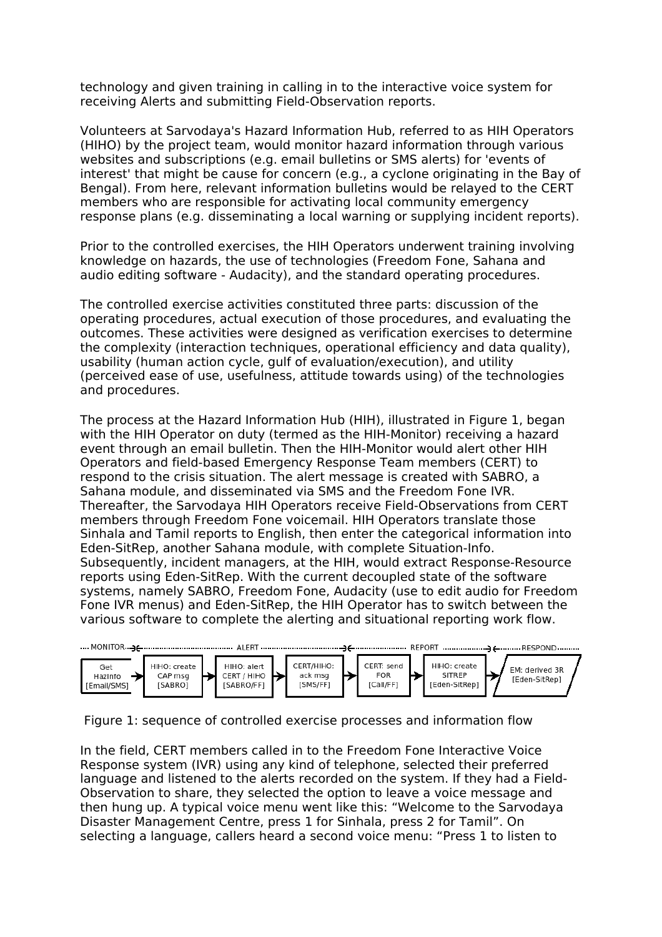technology and given training in calling in to the interactive voice system for receiving Alerts and submitting Field-Observation reports.

Volunteers at Sarvodaya's Hazard Information Hub, referred to as HIH Operators (HIHO) by the project team, would monitor hazard information through various websites and subscriptions (e.g. email bulletins or SMS alerts) for 'events of interest' that might be cause for concern (e.g., a cyclone originating in the Bay of Bengal). From here, relevant information bulletins would be relayed to the CERT members who are responsible for activating local community emergency response plans (e.g. disseminating a local warning or supplying incident reports).

Prior to the controlled exercises, the HIH Operators underwent training involving knowledge on hazards, the use of technologies (Freedom Fone, Sahana and audio editing software - Audacity), and the standard operating procedures.

The controlled exercise activities constituted three parts: discussion of the operating procedures, actual execution of those procedures, and evaluating the outcomes. These activities were designed as verification exercises to determine the complexity (interaction techniques, operational efficiency and data quality), usability (human action cycle, gulf of evaluation/execution), and utility (perceived ease of use, usefulness, attitude towards using) of the technologies and procedures.

The process at the Hazard Information Hub (HIH), illustrated in Figure 1, began with the HIH Operator on duty (termed as the HIH-Monitor) receiving a hazard event through an email bulletin. Then the HIH-Monitor would alert other HIH Operators and field-based Emergency Response Team members (CERT) to respond to the crisis situation. The alert message is created with SABRO, a Sahana module, and disseminated via SMS and the Freedom Fone IVR. Thereafter, the Sarvodaya HIH Operators receive Field-Observations from CERT members through Freedom Fone voicemail. HIH Operators translate those Sinhala and Tamil reports to English, then enter the categorical information into Eden-SitRep, another Sahana module, with complete Situation-Info. Subsequently, incident managers, at the HIH, would extract Response-Resource reports using Eden-SitRep. With the current decoupled state of the software systems, namely SABRO, Freedom Fone, Audacity (use to edit audio for Freedom Fone IVR menus) and Eden-SitRep, the HIH Operator has to switch between the various software to complete the alerting and situational reporting work flow.



Figure 1: sequence of controlled exercise processes and information flow

In the field, CERT members called in to the Freedom Fone Interactive Voice Response system (IVR) using any kind of telephone, selected their preferred language and listened to the alerts recorded on the system. If they had a Field-Observation to share, they selected the option to leave a voice message and then hung up. A typical voice menu went like this: "Welcome to the Sarvodaya Disaster Management Centre, press 1 for Sinhala, press 2 for Tamil". On selecting a language, callers heard a second voice menu: "Press 1 to listen to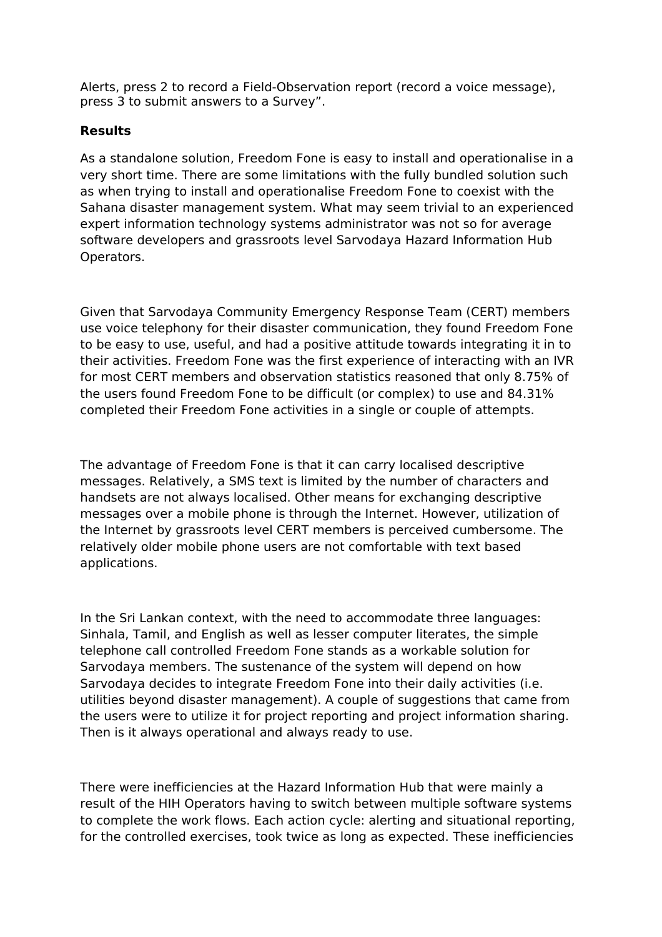Alerts, press 2 to record a Field-Observation report (record a voice message), press 3 to submit answers to a Survey".

# **Results**

As a standalone solution, Freedom Fone is easy to install and operationalise in a very short time. There are some limitations with the fully bundled solution such as when trying to install and operationalise Freedom Fone to coexist with the Sahana disaster management system. What may seem trivial to an experienced expert information technology systems administrator was not so for average software developers and grassroots level Sarvodaya Hazard Information Hub Operators.

Given that Sarvodaya Community Emergency Response Team (CERT) members use voice telephony for their disaster communication, they found Freedom Fone to be easy to use, useful, and had a positive attitude towards integrating it in to their activities. Freedom Fone was the first experience of interacting with an IVR for most CERT members and observation statistics reasoned that only 8.75% of the users found Freedom Fone to be difficult (or complex) to use and 84.31% completed their Freedom Fone activities in a single or couple of attempts.

The advantage of Freedom Fone is that it can carry localised descriptive messages. Relatively, a SMS text is limited by the number of characters and handsets are not always localised. Other means for exchanging descriptive messages over a mobile phone is through the Internet. However, utilization of the Internet by grassroots level CERT members is perceived cumbersome. The relatively older mobile phone users are not comfortable with text based applications.

In the Sri Lankan context, with the need to accommodate three languages: Sinhala, Tamil, and English as well as lesser computer literates, the simple telephone call controlled Freedom Fone stands as a workable solution for Sarvodaya members. The sustenance of the system will depend on how Sarvodaya decides to integrate Freedom Fone into their daily activities (i.e. utilities beyond disaster management). A couple of suggestions that came from the users were to utilize it for project reporting and project information sharing. Then is it always operational and always ready to use.

There were inefficiencies at the Hazard Information Hub that were mainly a result of the HIH Operators having to switch between multiple software systems to complete the work flows. Each action cycle: alerting and situational reporting, for the controlled exercises, took twice as long as expected. These inefficiencies